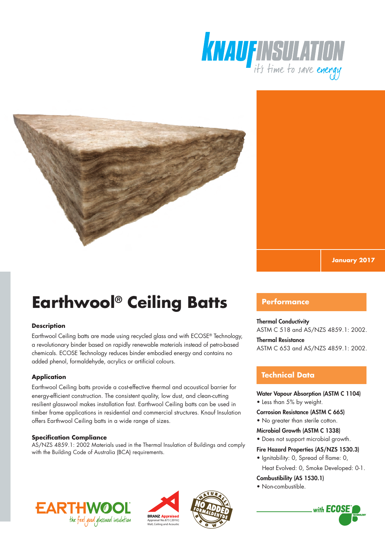



**January 2017**

# **Earthwool® Ceiling Batts**

### **Description**

Earthwool Ceiling batts are made using recycled glass and with ECOSE® Technology, a revolutionary binder based on rapidly renewable materials instead of petro-based chemicals. ECOSE Technology reduces binder embodied energy and contains no added phenol, formaldehyde, acrylics or artificial colours.

### **Application**

Earthwool Ceiling batts provide a cost-effective thermal and acoustical barrier for energy-efficient construction. The consistent quality, low dust, and clean-cutting resilient glasswool makes installation fast. Earthwool Ceiling batts can be used in timber frame applications in residential and commercial structures. Knauf Insulation offers Earthwool Ceiling batts in a wide range of sizes.

### **Specification Compliance**

AS/NZS 4859.1: 2002 Materials used in the Thermal Insulation of Buildings and comply with the Building Code of Australia (BCA) requirements.







## **Performance**

### Thermal Conductivity

ASTM C 518 and AS/NZS 4859.1: 2002.

### Thermal Resistance

ASTM C 653 and AS/NZS 4859.1: 2002.

## **Technical Data**

### Water Vapour Absorption (ASTM C 1104)

• Less than 5% by weight.

### Corrosion Resistance (ASTM C 665)

- No greater than sterile cotton.
- Microbial Growth (ASTM C 1338)

### • Does not support microbial growth.

### Fire Hazard Properties (AS/NZS 1530.3)

• Ignitability: 0, Spread of flame: 0, Heat Evolved: 0, Smoke Developed: 0-1.

### Combustibility (AS 1530.1)

• Non-combustible.

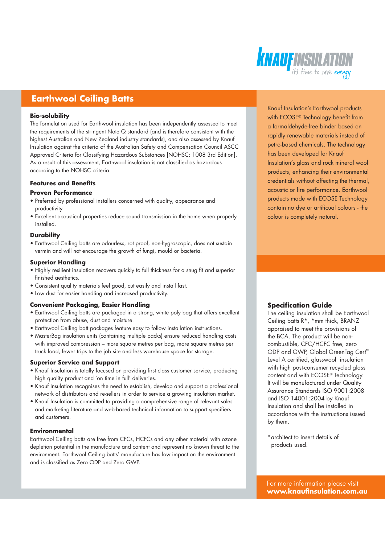# **KNAU FINSULATION**

# **Earthwool Ceiling Batts**

### **Bio-solubility**

The formulation used for Earthwool insulation has been independently assessed to meet the requirements of the stringent Note Q standard (and is therefore consistent with the highest Australian and New Zealand industry standards), and also assessed by Knauf Insulation against the criteria of the Australian Safety and Compensation Council ASCC Approved Criteria for Classifying Hazardous Substances [NOHSC: 1008 3rd Edition]. As a result of this assessment, Earthwool insulation is not classified as hazardous according to the NOHSC criteria.

### **Features and Benefits**

### **Proven Performance**

- Preferred by professional installers concerned with quality, appearance and productivity.
- Excellent acoustical properties reduce sound transmission in the home when properly installed.

### **Durability**

• Earthwool Ceiling batts are odourless, rot proof, non-hygroscopic, does not sustain vermin and will not encourage the growth of fungi, mould or bacteria.

### **Superior Handling**

- Highly resilient insulation recovers quickly to full thickness for a snug fit and superior finished aesthetics.
- Consistent quality materials feel good, cut easily and install fast.
- Low dust for easier handling and increased productivity.

### **Convenient Packaging, Easier Handling**

- Earthwool Ceiling batts are packaged in a strong, white poly bag that offers excellent protection from abuse, dust and moisture.
- Earthwool Ceiling batt packages feature easy to follow installation instructions.
- MasterBag insulation units (containing multiple packs) ensure reduced handling costs with improved compression – more square metres per bag, more square metres per truck load, fewer trips to the job site and less warehouse space for storage.

### **Superior Service and Support**

- Knauf Insulation is totally focused on providing first class customer service, producing high quality product and 'on time in full' deliveries.
- Knauf Insulation recognises the need to establish, develop and support a professional network of distributors and re-sellers in order to service a growing insulation market.
- Knauf Insulation is committed to providing a comprehensive range of relevant sales and marketing literature and web-based technical information to support specifiers and customers.

### **Environmental**

Earthwool Ceiling batts are free from CFCs, HCFCs and any other material with ozone depletion potential in the manufacture and content and represent no known threat to the environment. Earthwool Ceiling batts' manufacture has low impact on the environment and is classified as Zero ODP and Zero GWP.

Knauf Insulation's Earthwool products with ECOSE® Technology benefit from a formaldehyde-free binder based on rapidly renewable materials instead of petro-based chemicals. The technology has been developed for Knauf Insulation's glass and rock mineral wool products, enhancing their environmental credentials without affecting the thermal, acoustic or fire performance. Earthwool products made with ECOSE Technology contain no dye or artificual colours - the colour is completely natural.

### **Specification Guide**

The ceiling insulation shall be Earthwool Ceiling batts R\*, \*mm thick, BRANZ appraised to meet the provisions of the BCA. The product will be noncombustible, CFC/HCFC free, zero ODP and GWP, Global GreenTag Cert™ Level A certified, glasswool insulation with high post-consumer recycled glass content and with ECOSE® Technology. It will be manufactured under Quality Assurance Standards ISO 9001:2008 and ISO 14001:2004 by Knauf Insulation and shall be installed in accordance with the instructions issued by them.

\*architect to insert details of products used.

For more information please visit **www.knaufinsulation.com.au**